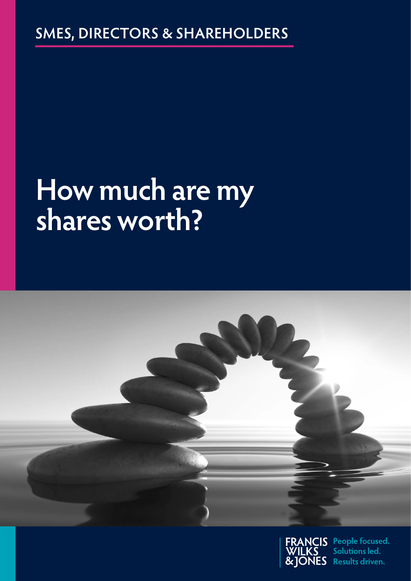# **How much are my shares worth?**





RANCIS People focused. **Solutions led. & JONES** Results driven.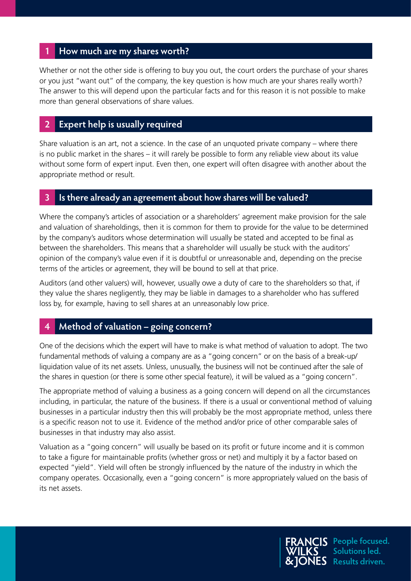## **1 How much are my shares worth?**

Whether or not the other side is offering to buy you out, the court orders the purchase of your shares or you just "want out" of the company, the key question is how much are your shares really worth? The answer to this will depend upon the particular facts and for this reason it is not possible to make more than general observations of share values.

## **2 Expert help is usually required**

Share valuation is an art, not a science. In the case of an unquoted private company – where there is no public market in the shares – it will rarely be possible to form any reliable view about its value without some form of expert input. Even then, one expert will often disagree with another about the appropriate method or result.

## **3 Is there already an agreement about how shares will be valued?**

Where the company's articles of association or a shareholders' agreement make provision for the sale and valuation of shareholdings, then it is common for them to provide for the value to be determined by the company's auditors whose determination will usually be stated and accepted to be final as between the shareholders. This means that a shareholder will usually be stuck with the auditors' opinion of the company's value even if it is doubtful or unreasonable and, depending on the precise terms of the articles or agreement, they will be bound to sell at that price.

Auditors (and other valuers) will, however, usually owe a duty of care to the shareholders so that, if they value the shares negligently, they may be liable in damages to a shareholder who has suffered loss by, for example, having to sell shares at an unreasonably low price.

## **4 Method of valuation – going concern?**

One of the decisions which the expert will have to make is what method of valuation to adopt. The two fundamental methods of valuing a company are as a "going concern" or on the basis of a break-up/ liquidation value of its net assets. Unless, unusually, the business will not be continued after the sale of the shares in question (or there is some other special feature), it will be valued as a "going concern".

The appropriate method of valuing a business as a going concern will depend on all the circumstances including, in particular, the nature of the business. If there is a usual or conventional method of valuing businesses in a particular industry then this will probably be the most appropriate method, unless there is a specific reason not to use it. Evidence of the method and/or price of other comparable sales of businesses in that industry may also assist.

Valuation as a "going concern" will usually be based on its profit or future income and it is common to take a figure for maintainable profits (whether gross or net) and multiply it by a factor based on expected "yield". Yield will often be strongly influenced by the nature of the industry in which the company operates. Occasionally, even a "going concern" is more appropriately valued on the basis of its net assets.



**S** People focused. **Solutions led. Results driven.**